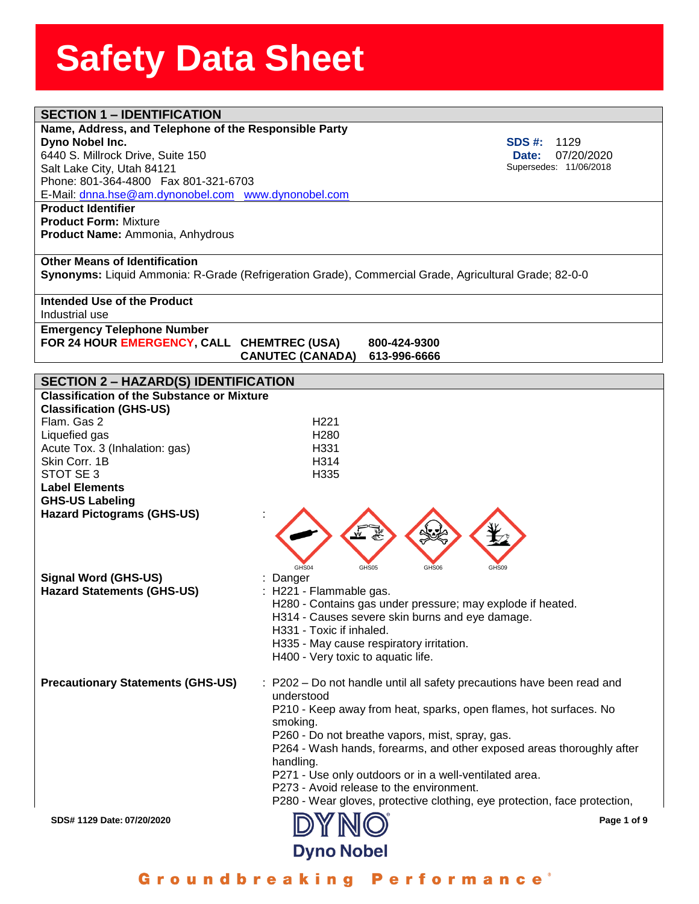| <b>SECTION 1 - IDENTIFICATION</b>                     |                                                                                                       |
|-------------------------------------------------------|-------------------------------------------------------------------------------------------------------|
| Name, Address, and Telephone of the Responsible Party |                                                                                                       |
| Dyno Nobel Inc.                                       | <b>SDS #:</b><br>1129                                                                                 |
| 6440 S. Millrock Drive, Suite 150                     | 07/20/2020<br>Date:                                                                                   |
| Salt Lake City, Utah 84121                            | Supersedes: 11/06/2018                                                                                |
| Phone: 801-364-4800  Fax 801-321-6703                 |                                                                                                       |
| E-Mail: dnna.hse@am.dynonobel.com www.dynonobel.com   |                                                                                                       |
| <b>Product Identifier</b>                             |                                                                                                       |
| <b>Product Form: Mixture</b>                          |                                                                                                       |
| Product Name: Ammonia, Anhydrous                      |                                                                                                       |
|                                                       |                                                                                                       |
| <b>Other Means of Identification</b>                  |                                                                                                       |
|                                                       | Synonyms: Liquid Ammonia: R-Grade (Refrigeration Grade), Commercial Grade, Agricultural Grade; 82-0-0 |
|                                                       |                                                                                                       |
| Intended Use of the Product                           |                                                                                                       |
| Industrial use                                        |                                                                                                       |
| <b>Emergency Telephone Number</b>                     |                                                                                                       |
| FOR 24 HOUR EMERGENCY, CALL CHEMTREC (USA)            | 800-424-9300                                                                                          |
|                                                       | <b>CANUTEC (CANADA)</b><br>613-996-6666                                                               |
|                                                       |                                                                                                       |
| <b>SECTION 2 - HAZARD(S) IDENTIFICATION</b>           |                                                                                                       |
| <b>Classification of the Substance or Mixture</b>     |                                                                                                       |
| <b>Classification (GHS-US)</b>                        |                                                                                                       |
| Flam. Gas 2                                           | H <sub>221</sub>                                                                                      |
| Liquefied gas                                         | H <sub>280</sub>                                                                                      |
| Acute Tox. 3 (Inhalation: gas)                        | H331                                                                                                  |
| Skin Corr. 1B                                         | H314                                                                                                  |
| STOT SE 3                                             | H335                                                                                                  |
| <b>Label Elements</b>                                 |                                                                                                       |
| <b>GHS-US Labeling</b>                                |                                                                                                       |
| <b>Hazard Pictograms (GHS-US)</b>                     |                                                                                                       |
|                                                       |                                                                                                       |
|                                                       |                                                                                                       |
|                                                       |                                                                                                       |
|                                                       | GHS04<br>GHS05<br>GHS06<br>GHS09                                                                      |
| <b>Signal Word (GHS-US)</b>                           | Danger                                                                                                |
| <b>Hazard Statements (GHS-US)</b>                     | H221 - Flammable gas.                                                                                 |
|                                                       | H280 - Contains gas under pressure; may explode if heated.                                            |
|                                                       | H314 - Causes severe skin burns and eye damage.                                                       |
|                                                       | H331 - Toxic if inhaled.                                                                              |
|                                                       | H335 - May cause respiratory irritation.                                                              |
|                                                       | H400 - Very toxic to aquatic life.                                                                    |
|                                                       |                                                                                                       |
| <b>Precautionary Statements (GHS-US)</b>              | : P202 - Do not handle until all safety precautions have been read and                                |
|                                                       | understood                                                                                            |
|                                                       |                                                                                                       |
|                                                       | P210 - Keep away from heat, sparks, open flames, hot surfaces. No                                     |
|                                                       | smoking.                                                                                              |
|                                                       | P260 - Do not breathe vapors, mist, spray, gas.                                                       |
|                                                       | P264 - Wash hands, forearms, and other exposed areas thoroughly after                                 |
|                                                       | handling.                                                                                             |
|                                                       | P271 - Use only outdoors or in a well-ventilated area.                                                |
|                                                       | P273 - Avoid release to the environment.                                                              |
|                                                       | P280 - Wear gloves, protective clothing, eye protection, face protection,                             |
| SDS# 1129 Date: 07/20/2020                            | Page 1 of 9                                                                                           |
|                                                       |                                                                                                       |
|                                                       | <b>Dyno Nobel</b>                                                                                     |
|                                                       |                                                                                                       |

Groundbreaking Performance<sup>®</sup>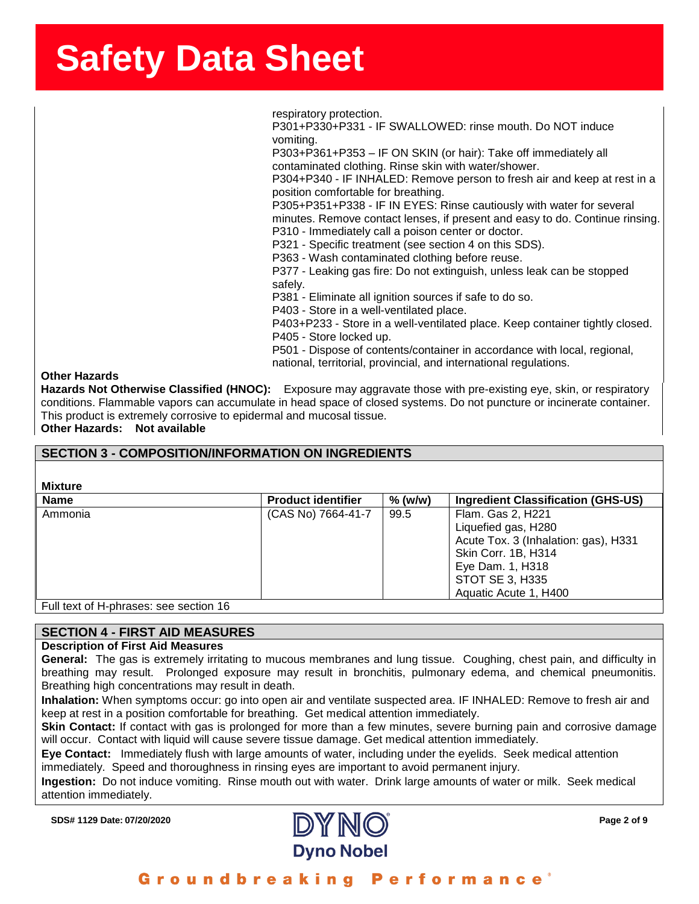ssense in the state of the state of the state of the state of the state of the state of the state of the state o<br>SherrSheetSSherrSheetSSherrSheetSSheetSSheetSSheetSSheetSSheetSSheetSSheetSSheetSSheetSSheetSSheetSSheetSShee respiratory protection.

P301+P330+P331 - IF SWALLOWED: rinse mouth. Do NOT induce vomiting.

P303+P361+P353 – IF ON SKIN (or hair): Take off immediately all contaminated clothing. Rinse skin with water/shower.

P304+P340 - IF INHALED: Remove person to fresh air and keep at rest in a position comfortable for breathing.

P305+P351+P338 - IF IN EYES: Rinse cautiously with water for several minutes. Remove contact lenses, if present and easy to do. Continue rinsing. P310 - Immediately call a poison center or doctor.

P321 - Specific treatment (see section 4 on this SDS).

P363 - Wash contaminated clothing before reuse.

P377 - Leaking gas fire: Do not extinguish, unless leak can be stopped safely.

P381 - Eliminate all ignition sources if safe to do so.

P403 - Store in a well-ventilated place.

P403+P233 - Store in a well-ventilated place. Keep container tightly closed. P405 - Store locked up.

P501 - Dispose of contents/container in accordance with local, regional, national, territorial, provincial, and international regulations.

#### **Other Hazards**

**Hazards Not Otherwise Classified (HNOC):** Exposure may aggravate those with pre-existing eye, skin, or respiratory conditions. Flammable vapors can accumulate in head space of closed systems. Do not puncture or incinerate container. This product is extremely corrosive to epidermal and mucosal tissue. **Other Hazards: Not available**

#### **SECTION 3 - COMPOSITION/INFORMATION ON INGREDIENTS**

#### **Mixture**

| <b>Name</b> | <b>Product identifier</b> | $%$ (w/w) | <b>Ingredient Classification (GHS-US)</b> |
|-------------|---------------------------|-----------|-------------------------------------------|
| Ammonia     | (CAS No) 7664-41-7        | 99.5      | Flam. Gas 2, H221                         |
|             |                           |           | Liquefied gas, H280                       |
|             |                           |           | Acute Tox. 3 (Inhalation: gas), H331      |
|             |                           |           | Skin Corr. 1B, H314                       |
|             |                           |           | Eye Dam. 1, H318                          |
|             |                           |           | STOT SE 3, H335                           |
|             |                           |           | Aquatic Acute 1, H400                     |
|             |                           |           |                                           |

Full text of H-phrases: see section 16

#### **SECTION 4 - FIRST AID MEASURES**

#### **Description of First Aid Measures**

**General:** The gas is extremely irritating to mucous membranes and lung tissue. Coughing, chest pain, and difficulty in breathing may result. Prolonged exposure may result in bronchitis, pulmonary edema, and chemical pneumonitis. Breathing high concentrations may result in death.

**Inhalation:** When symptoms occur: go into open air and ventilate suspected area. IF INHALED: Remove to fresh air and keep at rest in a position comfortable for breathing. Get medical attention immediately.

**Skin Contact:** If contact with gas is prolonged for more than a few minutes, severe burning pain and corrosive damage will occur. Contact with liquid will cause severe tissue damage. Get medical attention immediately.

**Eye Contact:** Immediately flush with large amounts of water, including under the eyelids. Seek medical attention immediately. Speed and thoroughness in rinsing eyes are important to avoid permanent injury.

**Ingestion:** Do not induce vomiting. Rinse mouth out with water. Drink large amounts of water or milk. Seek medical attention immediately.

**SDS# 1129 Date: 07/20/2020 Page 2 of 9**

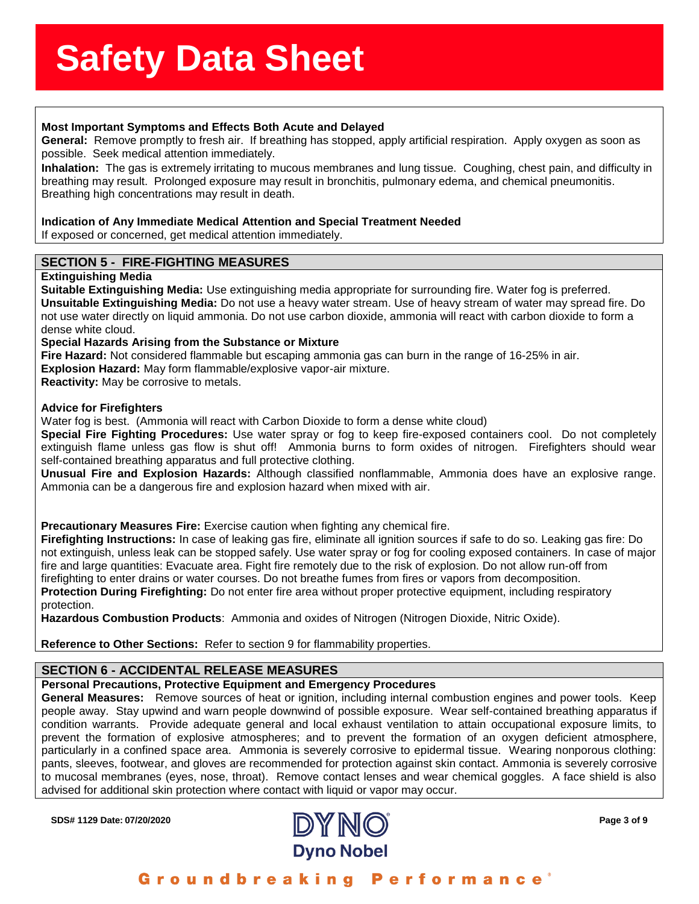# ass<del>sssssSSS</del><br>Stations Stations Stations Stations Stations Stations Stations Stations Stations Stations Stations Stations St

**Most Important Symptoms and Effects Both Acute and Delayed<br>General: Remove promptly to fresh air. If breathing has stopped, a<br>possible. Seek medical attention immediately. General:** Remove promptly to fresh air. If breathing has stopped, apply artificial respiration. Apply oxygen as soon as possible. Seek medical attention immediately.

**Inhalation:** The gas is extremely irritating to mucous membranes and lung tissue. Coughing, chest pain, and difficulty in breathing may result. Prolonged exposure may result in bronchitis, pulmonary edema, and chemical pneumonitis. Breathing high concentrations may result in death.

#### **Indication of Any Immediate Medical Attention and Special Treatment Needed**

If exposed or concerned, get medical attention immediately.

#### **SECTION 5 - FIRE-FIGHTING MEASURES**

#### **Extinguishing Media**

**Suitable Extinguishing Media:** Use extinguishing media appropriate for surrounding fire. Water fog is preferred. **Unsuitable Extinguishing Media:** Do not use a heavy water stream. Use of heavy stream of water may spread fire. Do not use water directly on liquid ammonia. Do not use carbon dioxide, ammonia will react with carbon dioxide to form a dense white cloud.

**Special Hazards Arising from the Substance or Mixture**

**Fire Hazard:** Not considered flammable but escaping ammonia gas can burn in the range of 16-25% in air. **Explosion Hazard:** May form flammable/explosive vapor-air mixture.

**Reactivity:** May be corrosive to metals.

#### **Advice for Firefighters**

Water fog is best. (Ammonia will react with Carbon Dioxide to form a dense white cloud)

**Special Fire Fighting Procedures:** Use water spray or fog to keep fire-exposed containers cool. Do not completely extinguish flame unless gas flow is shut off! Ammonia burns to form oxides of nitrogen. Firefighters should wear self-contained breathing apparatus and full protective clothing.

**Unusual Fire and Explosion Hazards:** Although classified nonflammable, Ammonia does have an explosive range. Ammonia can be a dangerous fire and explosion hazard when mixed with air.

**Precautionary Measures Fire:** Exercise caution when fighting any chemical fire.

**Firefighting Instructions:** In case of leaking gas fire, eliminate all ignition sources if safe to do so. Leaking gas fire: Do not extinguish, unless leak can be stopped safely. Use water spray or fog for cooling exposed containers. In case of major fire and large quantities: Evacuate area. Fight fire remotely due to the risk of explosion. Do not allow run-off from firefighting to enter drains or water courses. Do not breathe fumes from fires or vapors from decomposition.

**Protection During Firefighting:** Do not enter fire area without proper protective equipment, including respiratory protection.

**Hazardous Combustion Products**: Ammonia and oxides of Nitrogen (Nitrogen Dioxide, Nitric Oxide).

**Reference to Other Sections:** Refer to section 9 for flammability properties.

#### **SECTION 6 - ACCIDENTAL RELEASE MEASURES**

#### **Personal Precautions, Protective Equipment and Emergency Procedures**

**General Measures:** Remove sources of heat or ignition, including internal combustion engines and power tools. Keep people away. Stay upwind and warn people downwind of possible exposure. Wear self-contained breathing apparatus if condition warrants. Provide adequate general and local exhaust ventilation to attain occupational exposure limits, to prevent the formation of explosive atmospheres; and to prevent the formation of an oxygen deficient atmosphere, particularly in a confined space area. Ammonia is severely corrosive to epidermal tissue. Wearing nonporous clothing: pants, sleeves, footwear, and gloves are recommended for protection against skin contact. Ammonia is severely corrosive to mucosal membranes (eyes, nose, throat). Remove contact lenses and wear chemical goggles. A face shield is also advised for additional skin protection where contact with liquid or vapor may occur.

**SDS# 1129 Date: 07/20/2020 Page 3 of 9**



Groundbreaking Performance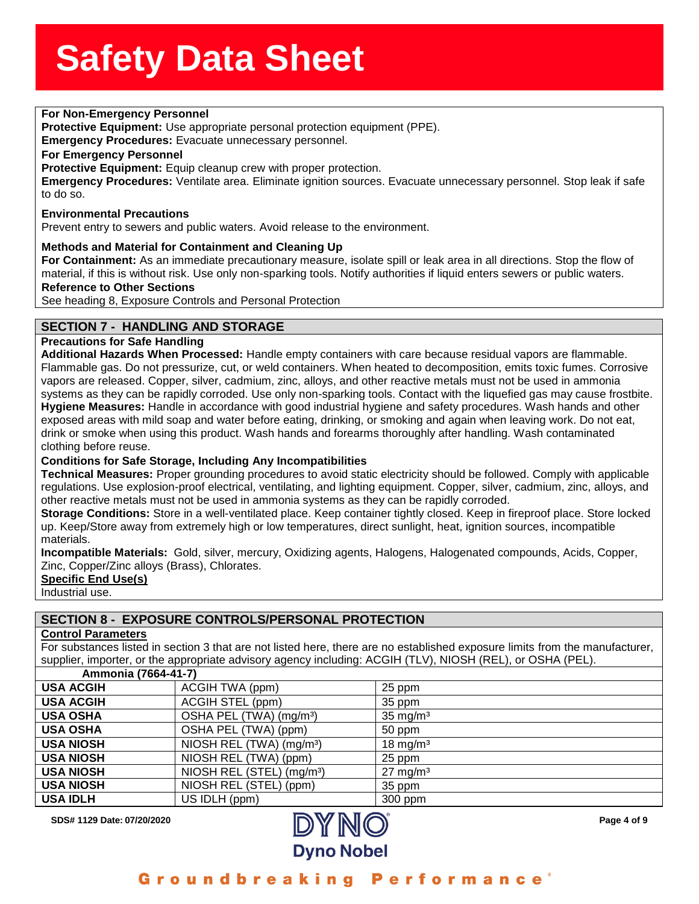### **For Non-Emergency Personnel**<br> **For Non-Emergency Personnel**

**Protective Equipment:** Use appropriate personal protection equipment (PPE).

**ptective Equipment:** Use a<br>h<mark>ergency Procedures:</mark> Eva<br>r Emergency Personnel **Emergency Procedures:** Evacuate unnecessary personnel.

#### **For Emergency Personnel**

**Protective Equipment:** Equip cleanup crew with proper protection.

**Emergency Procedures:** Ventilate area. Eliminate ignition sources. Evacuate unnecessary personnel. Stop leak if safe to do so.

#### **Environmental Precautions**

Prevent entry to sewers and public waters. Avoid release to the environment.

#### **Methods and Material for Containment and Cleaning Up**

**For Containment:** As an immediate precautionary measure, isolate spill or leak area in all directions. Stop the flow of material, if this is without risk. Use only non-sparking tools. Notify authorities if liquid enters sewers or public waters.

#### **Reference to Other Sections**

See heading 8, Exposure Controls and Personal Protection

#### **SECTION 7 - HANDLING AND STORAGE**

#### **Precautions for Safe Handling**

**Additional Hazards When Processed:** Handle empty containers with care because residual vapors are flammable. Flammable gas. Do not pressurize, cut, or weld containers. When heated to decomposition, emits toxic fumes. Corrosive vapors are released. Copper, silver, cadmium, zinc, alloys, and other reactive metals must not be used in ammonia systems as they can be rapidly corroded. Use only non-sparking tools. Contact with the liquefied gas may cause frostbite. **Hygiene Measures:** Handle in accordance with good industrial hygiene and safety procedures. Wash hands and other exposed areas with mild soap and water before eating, drinking, or smoking and again when leaving work. Do not eat, drink or smoke when using this product. Wash hands and forearms thoroughly after handling. Wash contaminated clothing before reuse.

#### **Conditions for Safe Storage, Including Any Incompatibilities**

**Technical Measures:** Proper grounding procedures to avoid static electricity should be followed. Comply with applicable regulations. Use explosion-proof electrical, ventilating, and lighting equipment. Copper, silver, cadmium, zinc, alloys, and other reactive metals must not be used in ammonia systems as they can be rapidly corroded.

**Storage Conditions:** Store in a well-ventilated place. Keep container tightly closed. Keep in fireproof place. Store locked up. Keep/Store away from extremely high or low temperatures, direct sunlight, heat, ignition sources, incompatible materials.

**Incompatible Materials:** Gold, silver, mercury, Oxidizing agents, Halogens, Halogenated compounds, Acids, Copper, Zinc, Copper/Zinc alloys (Brass), Chlorates.

**Specific End Use(s)**

Industrial use.

#### **SECTION 8 - EXPOSURE CONTROLS/PERSONAL PROTECTION**

#### **Control Parameters**

For substances listed in section 3 that are not listed here, there are no established exposure limits from the manufacturer, supplier, importer, or the appropriate advisory agency including: ACGIH (TLV), NIOSH (REL), or OSHA (PEL).

| Ammonia (7664-41-7) |                                       |                      |
|---------------------|---------------------------------------|----------------------|
| <b>USA ACGIH</b>    | ACGIH TWA (ppm)                       | 25 ppm               |
| <b>USA ACGIH</b>    | ACGIH STEL (ppm)                      | 35 ppm               |
| <b>USA OSHA</b>     | OSHA PEL (TWA) (mg/m <sup>3</sup> )   | $35 \text{ mg/m}^3$  |
| <b>USA OSHA</b>     | OSHA PEL (TWA) (ppm)                  | 50 ppm               |
| <b>USA NIOSH</b>    | NIOSH REL (TWA) (mg/m <sup>3</sup> )  | 18 mg/m <sup>3</sup> |
| <b>USA NIOSH</b>    | NIOSH REL (TWA) (ppm)                 | 25 ppm               |
| <b>USA NIOSH</b>    | NIOSH REL (STEL) (mg/m <sup>3</sup> ) | $27 \text{ mg/m}^3$  |
| <b>USA NIOSH</b>    | NIOSH REL (STEL) (ppm)                | 35 ppm               |
| <b>USA IDLH</b>     | US IDLH (ppm)                         | 300 ppm              |



Groundbreaking Performance'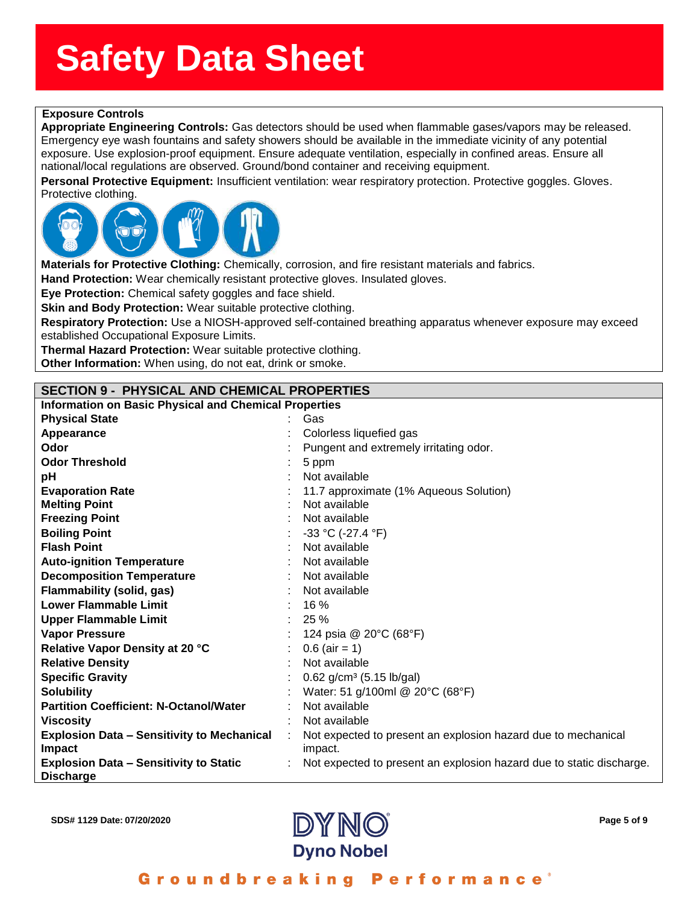### **ssssSSherrSheetSSh Exposure Controls**

**propriate Engineering Cor**<br>lergency eye wash fountains<br>posure. Use explosion-proof **Appropriate Engineering Controls:** Gas detectors should be used when flammable gases/vapors may be released. Emergency eye wash fountains and safety showers should be available in the immediate vicinity of any potential exposure. Use explosion-proof equipment. Ensure adequate ventilation, especially in confined areas. Ensure all national/local regulations are observed. Ground/bond container and receiving equipment.

**Personal Protective Equipment:** Insufficient ventilation: wear respiratory protection. Protective goggles. Gloves. Protective clothing.



**Materials for Protective Clothing:** Chemically, corrosion, and fire resistant materials and fabrics.

**Hand Protection:** Wear chemically resistant protective gloves. Insulated gloves.

**Eye Protection:** Chemical safety goggles and face shield.

**Skin and Body Protection:** Wear suitable protective clothing.

**Respiratory Protection:** Use a NIOSH-approved self-contained breathing apparatus whenever exposure may exceed established Occupational Exposure Limits.

**Thermal Hazard Protection:** Wear suitable protective clothing.

**Other Information:** When using, do not eat, drink or smoke.

#### **SECTION 9 - PHYSICAL AND CHEMICAL PROPERTIES**

| <b>Information on Basic Physical and Chemical Properties</b>      |  |                                                                      |  |
|-------------------------------------------------------------------|--|----------------------------------------------------------------------|--|
| <b>Physical State</b>                                             |  | Gas                                                                  |  |
| Appearance                                                        |  | Colorless liquefied gas                                              |  |
| Odor                                                              |  | Pungent and extremely irritating odor.                               |  |
| <b>Odor Threshold</b>                                             |  | 5 ppm                                                                |  |
| рH                                                                |  | Not available                                                        |  |
| <b>Evaporation Rate</b>                                           |  | 11.7 approximate (1% Aqueous Solution)                               |  |
| <b>Melting Point</b>                                              |  | Not available                                                        |  |
| <b>Freezing Point</b>                                             |  | Not available                                                        |  |
| <b>Boiling Point</b>                                              |  | -33 °C (-27.4 °F)                                                    |  |
| <b>Flash Point</b>                                                |  | Not available                                                        |  |
| <b>Auto-ignition Temperature</b>                                  |  | Not available                                                        |  |
| <b>Decomposition Temperature</b>                                  |  | Not available                                                        |  |
| Flammability (solid, gas)                                         |  | Not available                                                        |  |
| <b>Lower Flammable Limit</b>                                      |  | 16 %                                                                 |  |
| <b>Upper Flammable Limit</b>                                      |  | 25 %                                                                 |  |
| <b>Vapor Pressure</b>                                             |  | 124 psia @ 20°C (68°F)                                               |  |
| Relative Vapor Density at 20 °C                                   |  | $0.6$ (air = 1)                                                      |  |
| <b>Relative Density</b>                                           |  | Not available                                                        |  |
| <b>Specific Gravity</b>                                           |  | $0.62$ g/cm <sup>3</sup> (5.15 lb/gal)                               |  |
| <b>Solubility</b>                                                 |  | Water: 51 g/100ml @ 20°C (68°F)                                      |  |
| <b>Partition Coefficient: N-Octanol/Water</b>                     |  | Not available                                                        |  |
| <b>Viscosity</b>                                                  |  | Not available                                                        |  |
| <b>Explosion Data – Sensitivity to Mechanical</b>                 |  | Not expected to present an explosion hazard due to mechanical        |  |
| Impact                                                            |  | impact.                                                              |  |
| <b>Explosion Data - Sensitivity to Static</b><br><b>Discharge</b> |  | Not expected to present an explosion hazard due to static discharge. |  |



Groundbreaking **Performance**<sup>®</sup>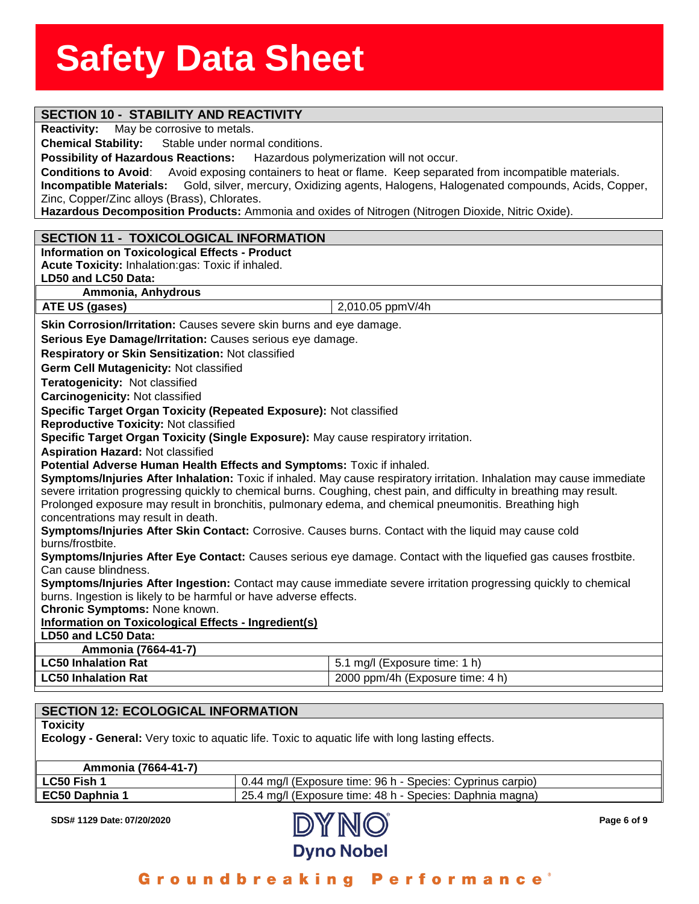### **SECTION 10 - STABILITY AND REACTIVITY**

**Reactivity:** May be corrosive to metals.

**Chemical Stability:** Stable under no<br>Possibility of Hazardous Reactions: Stable under normal conditions.

**Possibility of Hazardous Reactions:** Hazardous polymerization will not occur.

**Conditions to Avoid**:Avoid exposing containers to heat or flame. Keep separated from incompatible materials. **Incompatible Materials:** Gold, silver, mercury, Oxidizing agents, Halogens, Halogenated compounds, Acids, Copper, Zinc, Copper/Zinc alloys (Brass), Chlorates.

**Hazardous Decomposition Products:** Ammonia and oxides of Nitrogen (Nitrogen Dioxide, Nitric Oxide).

#### **SECTION 11 - TOXICOLOGICAL INFORMATION**

**Information on Toxicological Effects - Product**

**Acute Toxicity:** Inhalation:gas: Toxic if inhaled.

#### **LD50 and LC50 Data:**

**Ammonia, Anhydrous**

**ATE US (gases)** 2,010.05 ppmV/4h

**Skin Corrosion/Irritation:** Causes severe skin burns and eye damage.

**Serious Eye Damage/Irritation:** Causes serious eye damage.

**Respiratory or Skin Sensitization:** Not classified

**Germ Cell Mutagenicity:** Not classified

**Teratogenicity:** Not classified

**Carcinogenicity:** Not classified

**Specific Target Organ Toxicity (Repeated Exposure):** Not classified

**Reproductive Toxicity:** Not classified

**Specific Target Organ Toxicity (Single Exposure):** May cause respiratory irritation.

**Aspiration Hazard:** Not classified

**Potential Adverse Human Health Effects and Symptoms:** Toxic if inhaled.

**Symptoms/Injuries After Inhalation:** Toxic if inhaled. May cause respiratory irritation. Inhalation may cause immediate severe irritation progressing quickly to chemical burns. Coughing, chest pain, and difficulty in breathing may result. Prolonged exposure may result in bronchitis, pulmonary edema, and chemical pneumonitis. Breathing high concentrations may result in death.

**Symptoms/Injuries After Skin Contact:** Corrosive. Causes burns. Contact with the liquid may cause cold burns/frostbite.

**Symptoms/Injuries After Eye Contact:** Causes serious eye damage. Contact with the liquefied gas causes frostbite. Can cause blindness.

**Symptoms/Injuries After Ingestion:** Contact may cause immediate severe irritation progressing quickly to chemical burns. Ingestion is likely to be harmful or have adverse effects.

**Chronic Symptoms:** None known.

#### **Information on Toxicological Effects - Ingredient(s)**

**LD50 and LC50 Data:**

#### **Ammonia (7664-41-7)**

| <b>LC50 Inhalation Rat</b> | 1 mg/l (Exposure time: 1 h)      |
|----------------------------|----------------------------------|
| <b>LC50 Inhalation Rat</b> | 2000 ppm/4h (Exposure time: 4 h) |

#### **SECTION 12: ECOLOGICAL INFORMATION**

**Toxicity**

**Ecology - General:** Very toxic to aquatic life. Toxic to aquatic life with long lasting effects.

| Ammonia (7664-41-7) |                                                            |
|---------------------|------------------------------------------------------------|
| LC50 Fish 1         | 0.44 mg/l (Exposure time: 96 h - Species: Cyprinus carpio) |
| EC50 Daphnia 1      | 25.4 mg/l (Exposure time: 48 h - Species: Daphnia magna)   |

**SDS# 1129 Date: 07/20/2020 Page 6 of 9**



Groundbreaking Performance'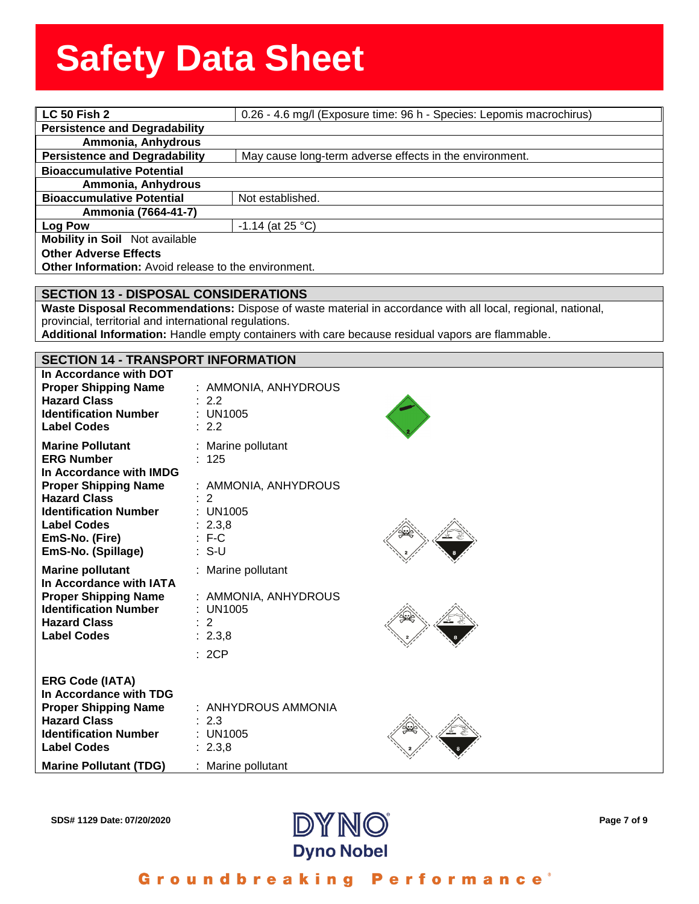| <b>LC 50 Fish 2</b>                                  | 0.26 - 4.6 mg/l (Exposure time: 96 h - Species: Lepomis macrochirus) |
|------------------------------------------------------|----------------------------------------------------------------------|
| <b>Persistence and Degradability</b>                 |                                                                      |
| Ammonia, Anhydrous                                   |                                                                      |
| <b>Persistence and Degradability</b>                 | May cause long-term adverse effects in the environment.              |
| <b>Bioaccumulative Potential</b>                     |                                                                      |
| Ammonia, Anhydrous                                   |                                                                      |
| <b>Bioaccumulative Potential</b>                     | Not established.                                                     |
| Ammonia (7664-41-7)                                  |                                                                      |
| Log Pow                                              | $-1.14$ (at 25 °C)                                                   |
| <b>Mobility in Soil</b> Not available                |                                                                      |
| <b>Other Adverse Effects</b>                         |                                                                      |
| Other Information: Avoid release to the environment. |                                                                      |

#### **SECTION 13 - DISPOSAL CONSIDERATIONS**

**Waste Disposal Recommendations:** Dispose of waste material in accordance with all local, regional, national, provincial, territorial and international regulations.

**Additional Information:** Handle empty containers with care because residual vapors are flammable.

| <b>SECTION 14 - TRANSPORT INFORMATION</b>                                                                                                                                                                                   |                                                                                                           |  |
|-----------------------------------------------------------------------------------------------------------------------------------------------------------------------------------------------------------------------------|-----------------------------------------------------------------------------------------------------------|--|
| In Accordance with DOT<br><b>Proper Shipping Name</b><br><b>Hazard Class</b><br><b>Identification Number</b><br><b>Label Codes</b>                                                                                          | : AMMONIA, ANHYDROUS<br>: 2.2<br>: UN1005<br>: 2.2                                                        |  |
| <b>Marine Pollutant</b><br><b>ERG Number</b><br>In Accordance with IMDG<br><b>Proper Shipping Name</b><br><b>Hazard Class</b><br><b>Identification Number</b><br><b>Label Codes</b><br>EmS-No. (Fire)<br>EmS-No. (Spillage) | : Marine pollutant<br>: 125<br>: AMMONIA, ANHYDROUS<br>: 2<br>$:$ UN1005<br>: 2.3,8<br>$: F-C$<br>$: S-U$ |  |
| <b>Marine pollutant</b><br>In Accordance with IATA<br><b>Proper Shipping Name</b><br><b>Identification Number</b><br><b>Hazard Class</b><br><b>Label Codes</b>                                                              | : Marine pollutant<br>: AMMONIA, ANHYDROUS<br>: UN1005<br>: 2<br>: 2.3,8<br>: 2CP                         |  |
| <b>ERG Code (IATA)</b><br>In Accordance with TDG<br><b>Proper Shipping Name</b><br><b>Hazard Class</b><br><b>Identification Number</b><br><b>Label Codes</b><br><b>Marine Pollutant (TDG)</b>                               | : ANHYDROUS AMMONIA<br>: 2.3<br>$:$ UN1005<br>: 2.3,8<br>: Marine pollutant                               |  |



Groundbreaking Performance<sup>®</sup>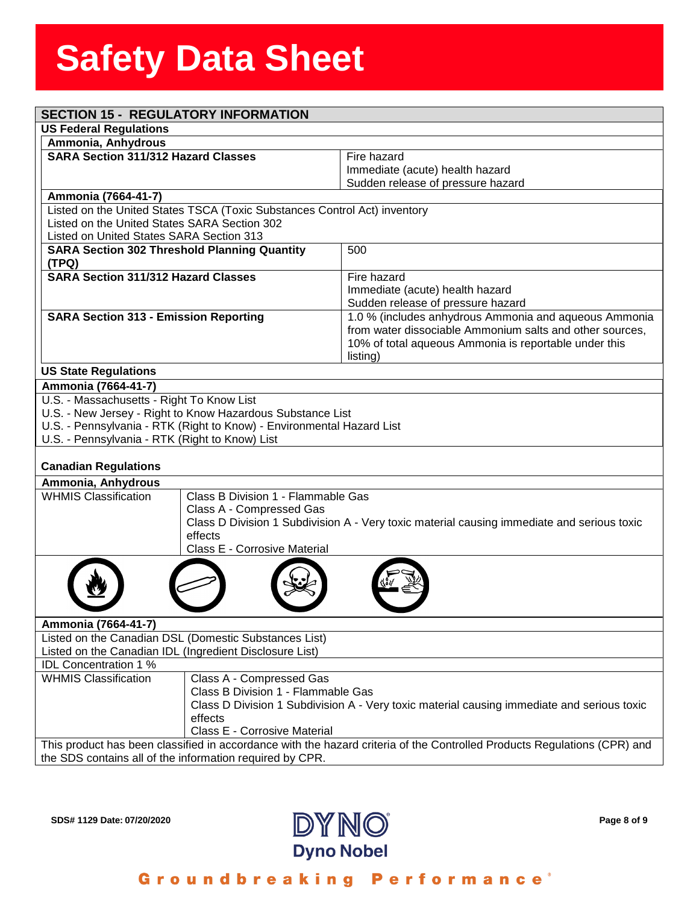| <b>SECTION 15 - REGULATORY INFORMATION</b>                                                                              |                                                                                                                          |
|-------------------------------------------------------------------------------------------------------------------------|--------------------------------------------------------------------------------------------------------------------------|
| <b>US Federal Regulations</b>                                                                                           |                                                                                                                          |
| Ammonia, Anhydrous                                                                                                      |                                                                                                                          |
| <b>SARA Section 311/312 Hazard Classes</b>                                                                              | Fire hazard                                                                                                              |
|                                                                                                                         | Immediate (acute) health hazard                                                                                          |
|                                                                                                                         | Sudden release of pressure hazard                                                                                        |
| Ammonia (7664-41-7)                                                                                                     |                                                                                                                          |
| Listed on the United States TSCA (Toxic Substances Control Act) inventory                                               |                                                                                                                          |
| Listed on the United States SARA Section 302                                                                            |                                                                                                                          |
| Listed on United States SARA Section 313                                                                                |                                                                                                                          |
| <b>SARA Section 302 Threshold Planning Quantity</b><br>(TPQ)                                                            | 500                                                                                                                      |
| <b>SARA Section 311/312 Hazard Classes</b>                                                                              | Fire hazard                                                                                                              |
|                                                                                                                         | Immediate (acute) health hazard                                                                                          |
|                                                                                                                         | Sudden release of pressure hazard                                                                                        |
| <b>SARA Section 313 - Emission Reporting</b>                                                                            | 1.0 % (includes anhydrous Ammonia and aqueous Ammonia                                                                    |
|                                                                                                                         | from water dissociable Ammonium salts and other sources,                                                                 |
|                                                                                                                         | 10% of total aqueous Ammonia is reportable under this                                                                    |
|                                                                                                                         | listing)                                                                                                                 |
| <b>US State Regulations</b>                                                                                             |                                                                                                                          |
| Ammonia (7664-41-7)                                                                                                     |                                                                                                                          |
| U.S. - Massachusetts - Right To Know List                                                                               |                                                                                                                          |
| U.S. - New Jersey - Right to Know Hazardous Substance List                                                              |                                                                                                                          |
| U.S. - Pennsylvania - RTK (Right to Know) - Environmental Hazard List<br>U.S. - Pennsylvania - RTK (Right to Know) List |                                                                                                                          |
|                                                                                                                         |                                                                                                                          |
| <b>Canadian Regulations</b>                                                                                             |                                                                                                                          |
| Ammonia, Anhydrous                                                                                                      |                                                                                                                          |
| <b>WHMIS Classification</b><br>Class B Division 1 - Flammable Gas                                                       |                                                                                                                          |
| Class A - Compressed Gas                                                                                                |                                                                                                                          |
|                                                                                                                         | Class D Division 1 Subdivision A - Very toxic material causing immediate and serious toxic                               |
| effects                                                                                                                 |                                                                                                                          |
| Class E - Corrosive Material                                                                                            |                                                                                                                          |
|                                                                                                                         |                                                                                                                          |
|                                                                                                                         |                                                                                                                          |
|                                                                                                                         |                                                                                                                          |
|                                                                                                                         |                                                                                                                          |
| Ammonia (7664-41-7)                                                                                                     |                                                                                                                          |
| Listed on the Canadian DSL (Domestic Substances List)                                                                   |                                                                                                                          |
| Listed on the Canadian IDL (Ingredient Disclosure List)                                                                 |                                                                                                                          |
| <b>IDL Concentration 1 %</b>                                                                                            |                                                                                                                          |
| <b>WHMIS Classification</b><br>Class A - Compressed Gas                                                                 |                                                                                                                          |
| Class B Division 1 - Flammable Gas                                                                                      |                                                                                                                          |
|                                                                                                                         | Class D Division 1 Subdivision A - Very toxic material causing immediate and serious toxic                               |
| effects                                                                                                                 |                                                                                                                          |
| Class E - Corrosive Material                                                                                            |                                                                                                                          |
|                                                                                                                         | This product has been classified in accordance with the hazard criteria of the Controlled Products Regulations (CPR) and |
| the SDS contains all of the information required by CPR.                                                                |                                                                                                                          |



Groundbreaking Performance<sup>®</sup>